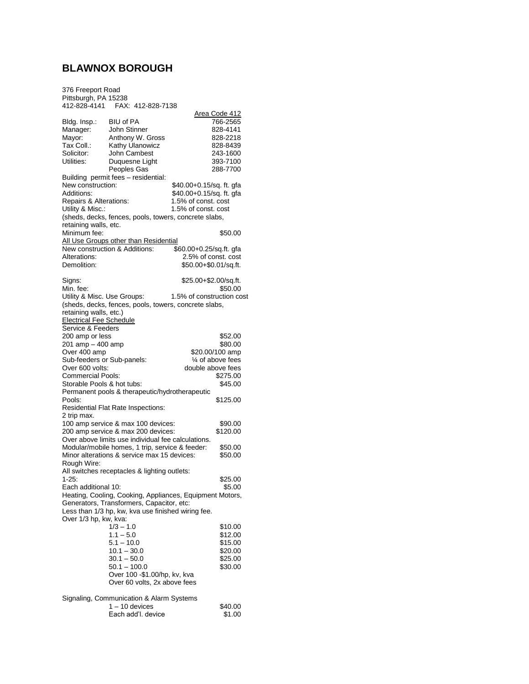## **BLAWNOX BOROUGH**

376 Freeport Road Pittsburgh, PA 15238 412-828-4141 FAX: 412-828-7138

| 412-828-4141                                       | FAA: 412-828-7138                                        |                           |                      |
|----------------------------------------------------|----------------------------------------------------------|---------------------------|----------------------|
|                                                    | <b>BIU of PA</b>                                         |                           | Area Code 412        |
| Bldg. Insp.:<br>Manager:                           | John Stinner                                             |                           | 766-2565<br>828-4141 |
| Mayor:                                             | Anthony W. Gross                                         |                           | 828-2218             |
| Tax Coll.:                                         | Kathy Ulanowicz                                          |                           | 828-8439             |
| Solicitor:                                         | John Cambest                                             |                           | 243-1600             |
| Utilities:                                         | Duquesne Light                                           |                           | 393-7100             |
|                                                    | Peoples Gas                                              |                           | 288-7700             |
|                                                    | Building permit fees - residential:                      |                           |                      |
| New construction:                                  |                                                          | \$40.00+0.15/sq. ft. gfa  |                      |
| Additions:                                         |                                                          | \$40.00+0.15/sq. ft. gfa  |                      |
| Repairs & Alterations:                             |                                                          | 1.5% of const. cost       |                      |
| Utility & Misc.:                                   |                                                          | 1.5% of const. cost       |                      |
|                                                    | (sheds, decks, fences, pools, towers, concrete slabs,    |                           |                      |
| retaining walls, etc.                              |                                                          |                           |                      |
| Minimum fee:                                       |                                                          |                           | \$50.00              |
|                                                    | All Use Groups other than Residential                    |                           |                      |
|                                                    | New construction & Additions:                            | \$60.00+0.25/sq.ft. gfa   |                      |
| Alterations:                                       |                                                          | 2.5% of const. cost       |                      |
| Demolition:                                        |                                                          | \$50.00+\$0.01/sq.ft.     |                      |
|                                                    |                                                          |                           |                      |
| Signs:                                             |                                                          | \$25.00+\$2.00/sq.ft.     |                      |
| Min. fee:                                          |                                                          |                           | \$50.00              |
| Utility & Misc. Use Groups:                        |                                                          | 1.5% of construction cost |                      |
|                                                    | (sheds, decks, fences, pools, towers, concrete slabs,    |                           |                      |
| retaining walls, etc.)                             |                                                          |                           |                      |
| <b>Electrical Fee Schedule</b>                     |                                                          |                           |                      |
| Service & Feeders                                  |                                                          |                           |                      |
| 200 amp or less                                    |                                                          |                           | \$52.00<br>\$80.00   |
| 201 amp - 400 amp<br>Over 400 amp                  |                                                          |                           | \$20.00/100 amp      |
| Sub-feeders or Sub-panels:                         |                                                          |                           | 1⁄4 of above fees    |
| Over 600 volts:                                    |                                                          | double above fees         |                      |
| <b>Commercial Pools:</b>                           |                                                          |                           | \$275.00             |
| Storable Pools & hot tubs:                         |                                                          |                           | \$45.00              |
|                                                    | Permanent pools & therapeutic/hydrotherapeutic           |                           |                      |
| Pools:                                             |                                                          |                           | \$125.00             |
|                                                    | Residential Flat Rate Inspections:                       |                           |                      |
| 2 trip max.                                        |                                                          |                           |                      |
|                                                    | 100 amp service & max 100 devices:                       |                           | \$90.00              |
|                                                    | 200 amp service & max 200 devices:                       |                           | \$120.00             |
| Over above limits use individual fee calculations. |                                                          |                           |                      |
|                                                    | Modular/mobile homes, 1 trip, service & feeder:          |                           | \$50.00              |
|                                                    | Minor alterations & service max 15 devices:              |                           | \$50.00              |
| Rough Wire:                                        |                                                          |                           |                      |
|                                                    | All switches receptacles & lighting outlets:             |                           |                      |
| $1 - 25.$                                          |                                                          |                           | \$25.00              |
| Each additional 10:                                |                                                          |                           | \$5.00               |
|                                                    | Heating, Cooling, Cooking, Appliances, Equipment Motors, |                           |                      |
|                                                    | Generators, Transformers, Capacitor, etc:                |                           |                      |
| Over 1/3 hp, kw, kva:                              | Less than 1/3 hp, kw, kva use finished wiring fee.       |                           |                      |
|                                                    |                                                          |                           | \$10.00              |
|                                                    | $1/3 - 1.0$<br>$1.1 - 5.0$                               |                           | \$12.00              |
|                                                    | $5.1 - 10.0$                                             |                           | \$15.00              |
|                                                    | $10.1 - 30.0$                                            |                           | \$20.00              |
|                                                    | $30.1 - 50.0$                                            |                           | \$25.00              |
|                                                    | $50.1 - 100.0$                                           |                           | \$30.00              |
|                                                    | Over 100 - \$1.00/hp, kv, kva                            |                           |                      |
|                                                    | Over 60 volts, 2x above fees                             |                           |                      |
|                                                    |                                                          |                           |                      |
|                                                    | Signaling, Communication & Alarm Systems                 |                           |                      |
|                                                    | $1 - 10$ devices                                         |                           | \$40.00              |
|                                                    | Each add'l. device                                       |                           | \$1.00               |